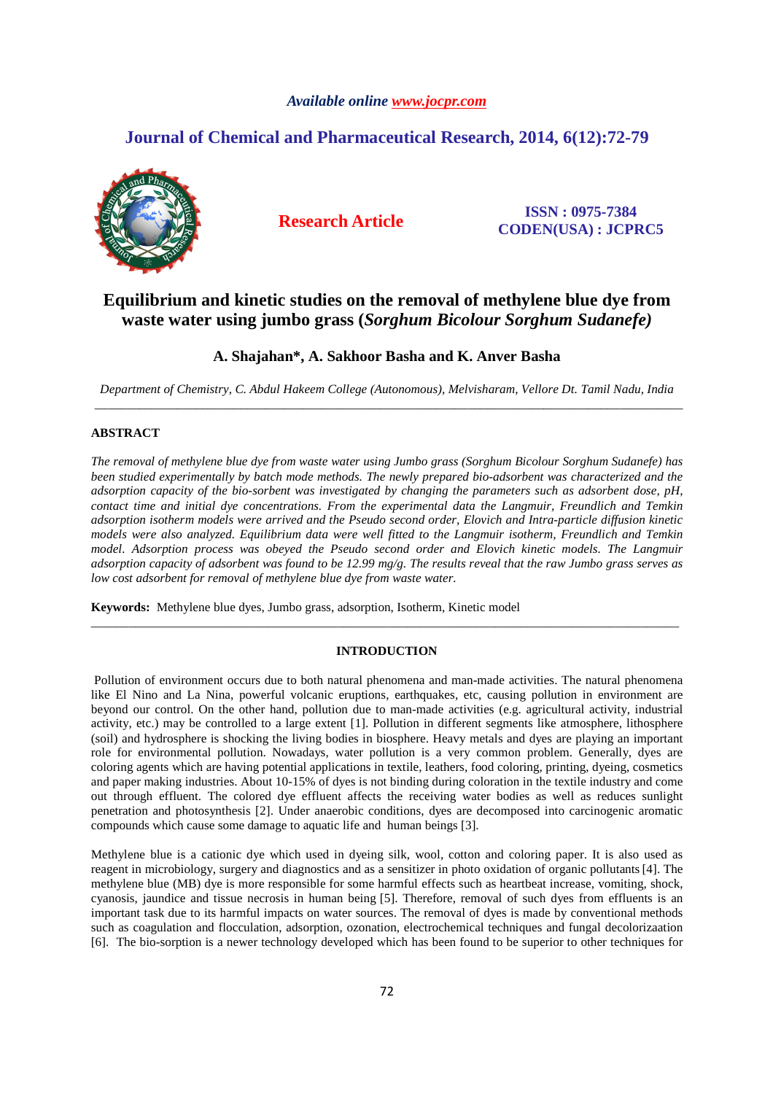## *Available online www.jocpr.com*

# **Journal of Chemical and Pharmaceutical Research, 2014, 6(12):72-79**



**Research Article ISSN : 0975-7384 CODEN(USA) : JCPRC5**

# **Equilibrium and kinetic studies on the removal of methylene blue dye from waste water using jumbo grass (***Sorghum Bicolour Sorghum Sudanefe)*

## **A. Shajahan\*, A. Sakhoor Basha and K. Anver Basha**

*Department of Chemistry, C. Abdul Hakeem College (Autonomous), Melvisharam, Vellore Dt. Tamil Nadu, India*  \_\_\_\_\_\_\_\_\_\_\_\_\_\_\_\_\_\_\_\_\_\_\_\_\_\_\_\_\_\_\_\_\_\_\_\_\_\_\_\_\_\_\_\_\_\_\_\_\_\_\_\_\_\_\_\_\_\_\_\_\_\_\_\_\_\_\_\_\_\_\_\_\_\_\_\_\_\_\_\_\_\_\_\_\_\_\_\_\_\_\_\_\_

## **ABSTRACT**

*The removal of methylene blue dye from waste water using Jumbo grass (Sorghum Bicolour Sorghum Sudanefe) has been studied experimentally by batch mode methods. The newly prepared bio-adsorbent was characterized and the adsorption capacity of the bio-sorbent was investigated by changing the parameters such as adsorbent dose, pH, contact time and initial dye concentrations. From the experimental data the Langmuir, Freundlich and Temkin adsorption isotherm models were arrived and the Pseudo second order, Elovich and Intra-particle diffusion kinetic models were also analyzed. Equilibrium data were well fitted to the Langmuir isotherm, Freundlich and Temkin model. Adsorption process was obeyed the Pseudo second order and Elovich kinetic models. The Langmuir adsorption capacity of adsorbent was found to be 12.99 mg/g. The results reveal that the raw Jumbo grass serves as low cost adsorbent for removal of methylene blue dye from waste water.* 

**Keywords:** Methylene blue dyes, Jumbo grass, adsorption, Isotherm, Kinetic model

#### **INTRODUCTION**

\_\_\_\_\_\_\_\_\_\_\_\_\_\_\_\_\_\_\_\_\_\_\_\_\_\_\_\_\_\_\_\_\_\_\_\_\_\_\_\_\_\_\_\_\_\_\_\_\_\_\_\_\_\_\_\_\_\_\_\_\_\_\_\_\_\_\_\_\_\_\_\_\_\_\_\_\_\_\_\_\_\_\_\_\_\_\_\_\_\_\_\_\_

 Pollution of environment occurs due to both natural phenomena and man-made activities. The natural phenomena like El Nino and La Nina, powerful volcanic eruptions, earthquakes, etc, causing pollution in environment are beyond our control. On the other hand, pollution due to man-made activities (e.g. agricultural activity, industrial activity, etc.) may be controlled to a large extent [1]. Pollution in different segments like atmosphere, lithosphere (soil) and hydrosphere is shocking the living bodies in biosphere. Heavy metals and dyes are playing an important role for environmental pollution. Nowadays, water pollution is a very common problem. Generally, dyes are coloring agents which are having potential applications in textile, leathers, food coloring, printing, dyeing, cosmetics and paper making industries. About 10-15% of dyes is not binding during coloration in the textile industry and come out through effluent. The colored dye effluent affects the receiving water bodies as well as reduces sunlight penetration and photosynthesis [2]. Under anaerobic conditions, dyes are decomposed into carcinogenic aromatic compounds which cause some damage to aquatic life and human beings [3].

Methylene blue is a cationic dye which used in dyeing silk, wool, cotton and coloring paper. It is also used as reagent in microbiology, surgery and diagnostics and as a sensitizer in photo oxidation of organic pollutants[4]. The methylene blue (MB) dye is more responsible for some harmful effects such as heartbeat increase, vomiting, shock, cyanosis, jaundice and tissue necrosis in human being [5]. Therefore, removal of such dyes from effluents is an important task due to its harmful impacts on water sources. The removal of dyes is made by conventional methods such as coagulation and flocculation, adsorption, ozonation, electrochemical techniques and fungal decolorizaation [6]. The bio-sorption is a newer technology developed which has been found to be superior to other techniques for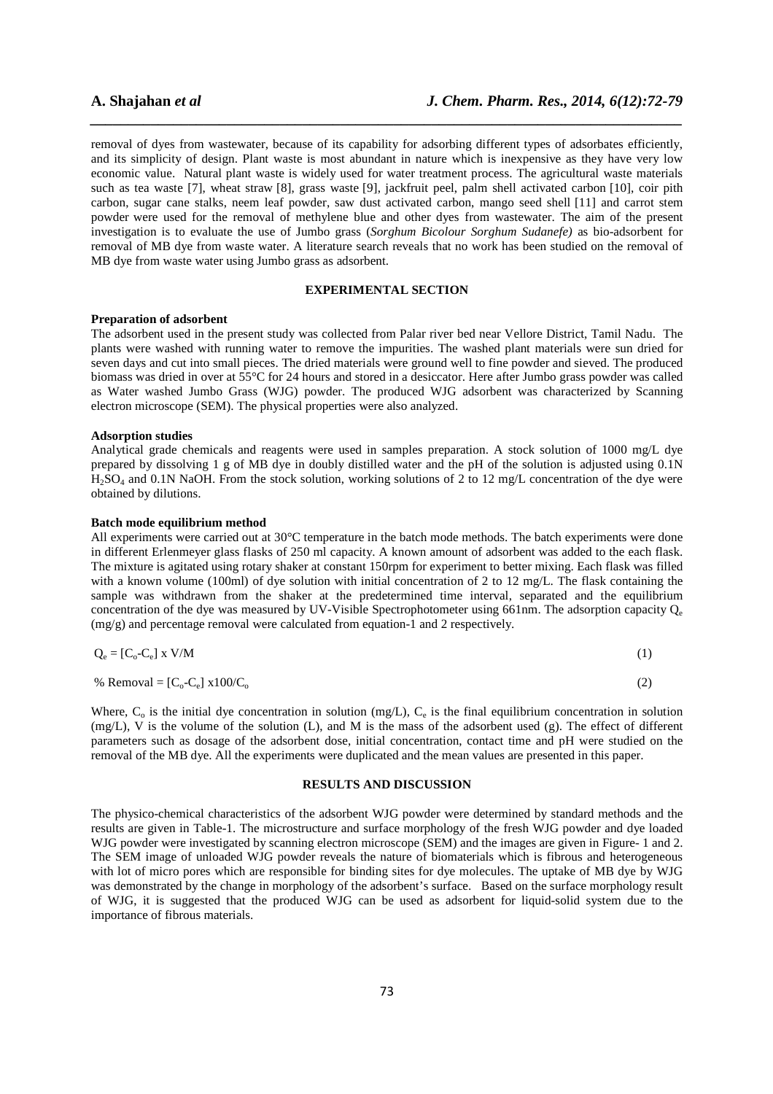removal of dyes from wastewater, because of its capability for adsorbing different types of adsorbates efficiently, and its simplicity of design. Plant waste is most abundant in nature which is inexpensive as they have very low economic value. Natural plant waste is widely used for water treatment process. The agricultural waste materials such as tea waste [7], wheat straw [8], grass waste [9], jackfruit peel, palm shell activated carbon [10], coir pith carbon, sugar cane stalks, neem leaf powder, saw dust activated carbon, mango seed shell [11] and carrot stem powder were used for the removal of methylene blue and other dyes from wastewater. The aim of the present investigation is to evaluate the use of Jumbo grass (*Sorghum Bicolour Sorghum Sudanefe)* as bio-adsorbent for removal of MB dye from waste water. A literature search reveals that no work has been studied on the removal of MB dye from waste water using Jumbo grass as adsorbent.

*\_\_\_\_\_\_\_\_\_\_\_\_\_\_\_\_\_\_\_\_\_\_\_\_\_\_\_\_\_\_\_\_\_\_\_\_\_\_\_\_\_\_\_\_\_\_\_\_\_\_\_\_\_\_\_\_\_\_\_\_\_\_\_\_\_\_\_\_\_\_\_\_\_\_\_\_\_\_*

## **EXPERIMENTAL SECTION**

### **Preparation of adsorbent**

The adsorbent used in the present study was collected from Palar river bed near Vellore District, Tamil Nadu. The plants were washed with running water to remove the impurities. The washed plant materials were sun dried for seven days and cut into small pieces. The dried materials were ground well to fine powder and sieved. The produced biomass was dried in over at 55°C for 24 hours and stored in a desiccator. Here after Jumbo grass powder was called as Water washed Jumbo Grass (WJG) powder. The produced WJG adsorbent was characterized by Scanning electron microscope (SEM). The physical properties were also analyzed.

#### **Adsorption studies**

Analytical grade chemicals and reagents were used in samples preparation. A stock solution of 1000 mg/L dye prepared by dissolving 1 g of MB dye in doubly distilled water and the pH of the solution is adjusted using 0.1N  $H_2SO_4$  and 0.1N NaOH. From the stock solution, working solutions of 2 to 12 mg/L concentration of the dye were obtained by dilutions.

#### **Batch mode equilibrium method**

All experiments were carried out at 30°C temperature in the batch mode methods. The batch experiments were done in different Erlenmeyer glass flasks of 250 ml capacity. A known amount of adsorbent was added to the each flask. The mixture is agitated using rotary shaker at constant 150rpm for experiment to better mixing. Each flask was filled with a known volume (100ml) of dye solution with initial concentration of 2 to 12 mg/L. The flask containing the sample was withdrawn from the shaker at the predetermined time interval, separated and the equilibrium concentration of the dye was measured by UV-Visible Spectrophotometer using 661nm. The adsorption capacity  $Q_e$ (mg/g) and percentage removal were calculated from equation-1 and 2 respectively.

$$
Q_e = [C_o - C_e] \times V/M
$$
 (1)

% Removal =  $[C_0 - C_e] \times 100/C_0$  (2)

Where,  $C_0$  is the initial dye concentration in solution (mg/L),  $C_e$  is the final equilibrium concentration in solution (mg/L), V is the volume of the solution (L), and M is the mass of the adsorbent used (g). The effect of different parameters such as dosage of the adsorbent dose, initial concentration, contact time and pH were studied on the removal of the MB dye. All the experiments were duplicated and the mean values are presented in this paper.

#### **RESULTS AND DISCUSSION**

The physico-chemical characteristics of the adsorbent WJG powder were determined by standard methods and the results are given in Table-1. The microstructure and surface morphology of the fresh WJG powder and dye loaded WJG powder were investigated by scanning electron microscope (SEM) and the images are given in Figure- 1 and 2. The SEM image of unloaded WJG powder reveals the nature of biomaterials which is fibrous and heterogeneous with lot of micro pores which are responsible for binding sites for dye molecules. The uptake of MB dye by WJG was demonstrated by the change in morphology of the adsorbent's surface. Based on the surface morphology result of WJG, it is suggested that the produced WJG can be used as adsorbent for liquid-solid system due to the importance of fibrous materials.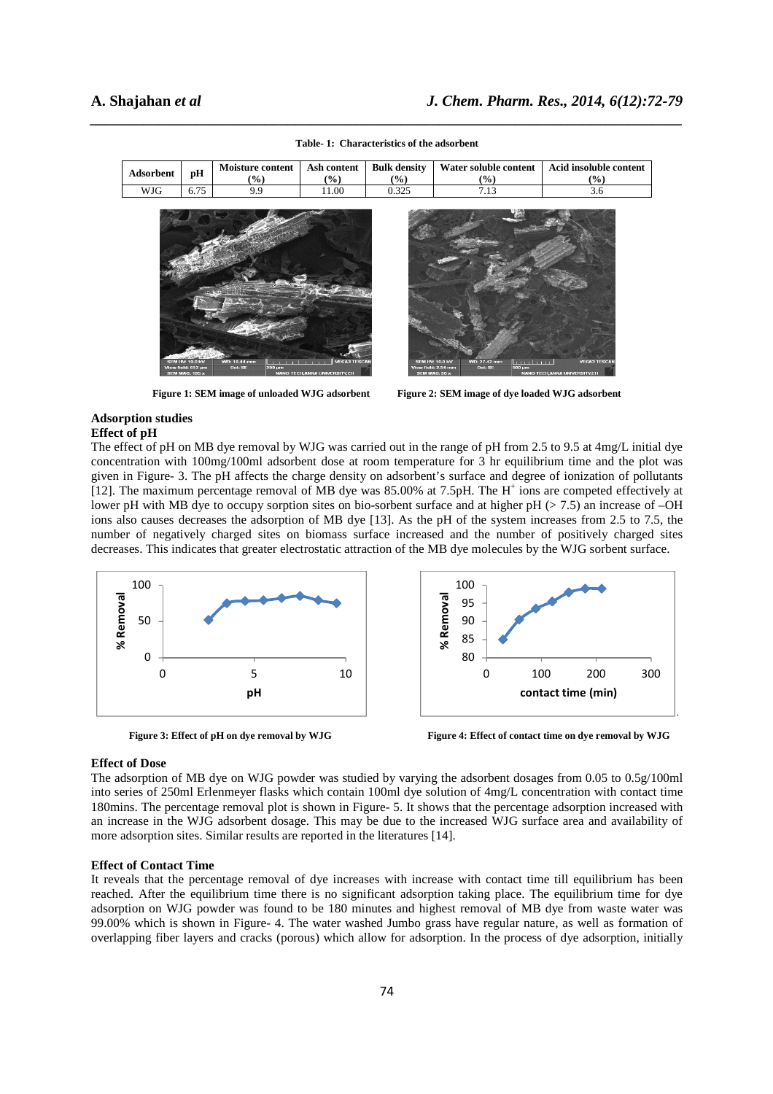| Adsorbent | pН   | Moisture content<br>$(\%)$ | Ash content<br>$(\%)$ | <b>Bulk density</b><br>(%) | Water soluble content<br>(%) | Acid insoluble content<br>(%) |  |
|-----------|------|----------------------------|-----------------------|----------------------------|------------------------------|-------------------------------|--|
| WJG       | 6.75 | 9.9                        | 11.00                 | 0.325                      | 7.13                         | 3.6                           |  |
|           |      |                            |                       |                            |                              |                               |  |

*\_\_\_\_\_\_\_\_\_\_\_\_\_\_\_\_\_\_\_\_\_\_\_\_\_\_\_\_\_\_\_\_\_\_\_\_\_\_\_\_\_\_\_\_\_\_\_\_\_\_\_\_\_\_\_\_\_\_\_\_\_\_\_\_\_\_\_\_\_\_\_\_\_\_\_\_\_\_* **Table- 1: Characteristics of the adsorbent** 



**Figure 1: SEM image of unloaded WJG adsorbent Figure 2: SEM image of dye loaded WJG adsorbent** 

#### **Adsorption studies Effect of pH**

The effect of pH on MB dye removal by WJG was carried out in the range of pH from 2.5 to 9.5 at 4mg/L initial dye concentration with 100mg/100ml adsorbent dose at room temperature for 3 hr equilibrium time and the plot was given in Figure- 3. The pH affects the charge density on adsorbent's surface and degree of ionization of pollutants [12]. The maximum percentage removal of MB dye was 85.00% at 7.5pH. The H<sup>+</sup> ions are competed effectively at lower pH with MB dye to occupy sorption sites on bio-sorbent surface and at higher pH  $(> 7.5)$  an increase of  $-OH$ ions also causes decreases the adsorption of MB dye [13]. As the pH of the system increases from 2.5 to 7.5, the number of negatively charged sites on biomass surface increased and the number of positively charged sites decreases. This indicates that greater electrostatic attraction of the MB dye molecules by the WJG sorbent surface.



 **Figure 3: Effect of pH on dye removal by WJG Figure 4: Effect of contact time on dye removal by WJG** 

### **Effect of Dose**

The adsorption of MB dye on WJG powder was studied by varying the adsorbent dosages from 0.05 to 0.5g/100ml into series of 250ml Erlenmeyer flasks which contain 100ml dye solution of 4mg/L concentration with contact time 180mins. The percentage removal plot is shown in Figure- 5. It shows that the percentage adsorption increased with an increase in the WJG adsorbent dosage. This may be due to the increased WJG surface area and availability of more adsorption sites. Similar results are reported in the literatures [14].

### **Effect of Contact Time**

It reveals that the percentage removal of dye increases with increase with contact time till equilibrium has been reached. After the equilibrium time there is no significant adsorption taking place. The equilibrium time for dye adsorption on WJG powder was found to be 180 minutes and highest removal of MB dye from waste water was 99.00% which is shown in Figure- 4. The water washed Jumbo grass have regular nature, as well as formation of overlapping fiber layers and cracks (porous) which allow for adsorption. In the process of dye adsorption, initially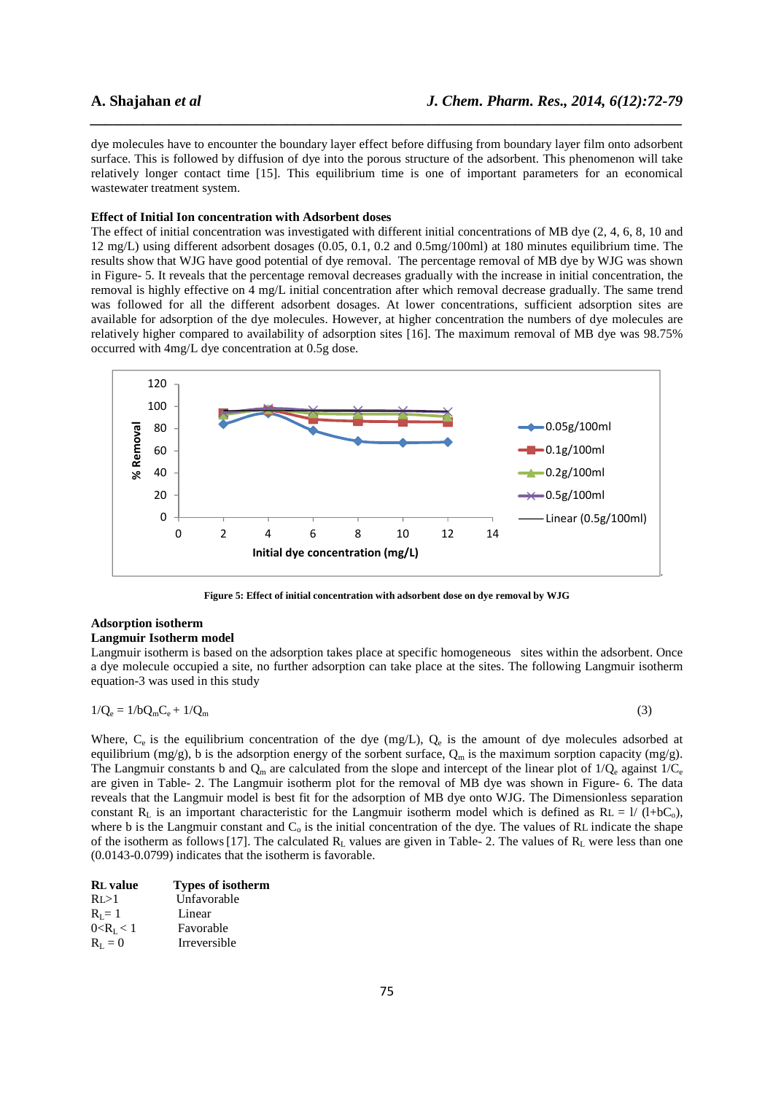dye molecules have to encounter the boundary layer effect before diffusing from boundary layer film onto adsorbent surface. This is followed by diffusion of dye into the porous structure of the adsorbent. This phenomenon will take relatively longer contact time [15]. This equilibrium time is one of important parameters for an economical wastewater treatment system.

*\_\_\_\_\_\_\_\_\_\_\_\_\_\_\_\_\_\_\_\_\_\_\_\_\_\_\_\_\_\_\_\_\_\_\_\_\_\_\_\_\_\_\_\_\_\_\_\_\_\_\_\_\_\_\_\_\_\_\_\_\_\_\_\_\_\_\_\_\_\_\_\_\_\_\_\_\_\_*

### **Effect of Initial Ion concentration with Adsorbent doses**

The effect of initial concentration was investigated with different initial concentrations of MB dye (2, 4, 6, 8, 10 and 12 mg/L) using different adsorbent dosages (0.05, 0.1, 0.2 and 0.5mg/100ml) at 180 minutes equilibrium time. The results show that WJG have good potential of dye removal. The percentage removal of MB dye by WJG was shown in Figure- 5. It reveals that the percentage removal decreases gradually with the increase in initial concentration, the removal is highly effective on 4 mg/L initial concentration after which removal decrease gradually. The same trend was followed for all the different adsorbent dosages. At lower concentrations, sufficient adsorption sites are available for adsorption of the dye molecules. However, at higher concentration the numbers of dye molecules are relatively higher compared to availability of adsorption sites [16]. The maximum removal of MB dye was 98.75% occurred with 4mg/L dye concentration at 0.5g dose.



**Figure 5: Effect of initial concentration with adsorbent dose on dye removal by WJG** 

## **Adsorption isotherm**

#### **Langmuir Isotherm model**

Langmuir isotherm is based on the adsorption takes place at specific homogeneous sites within the adsorbent. Once a dye molecule occupied a site, no further adsorption can take place at the sites. The following Langmuir isotherm equation-3 was used in this study

$$
1/Q_e = 1/bQ_mC_e + 1/Q_m \tag{3}
$$

Where,  $C_e$  is the equilibrium concentration of the dye (mg/L),  $Q_e$  is the amount of dye molecules adsorbed at equilibrium (mg/g), b is the adsorption energy of the sorbent surface,  $Q_m$  is the maximum sorption capacity (mg/g). The Langmuir constants b and  $Q_m$  are calculated from the slope and intercept of the linear plot of 1/ $Q_e$  against 1/ $C_e$ are given in Table- 2. The Langmuir isotherm plot for the removal of MB dye was shown in Figure- 6. The data reveals that the Langmuir model is best fit for the adsorption of MB dye onto WJG. The Dimensionless separation constant  $R_L$  is an important characteristic for the Langmuir isotherm model which is defined as  $RL = 1/(1+bC_0)$ , where b is the Langmuir constant and  $C_0$  is the initial concentration of the dye. The values of RL indicate the shape of the isotherm as follows [17]. The calculated  $R_L$  values are given in Table- 2. The values of  $R_L$  were less than one (0.0143-0.0799) indicates that the isotherm is favorable.

| <b>RL</b> value | <b>Types of isotherm</b> |
|-----------------|--------------------------|
| RI > 1          | Unfavorable              |
| $R_i = 1$       | Linear                   |
| $0 < R_{I} < 1$ | Favorable                |
| $R_{I} = 0$     | Irreversible             |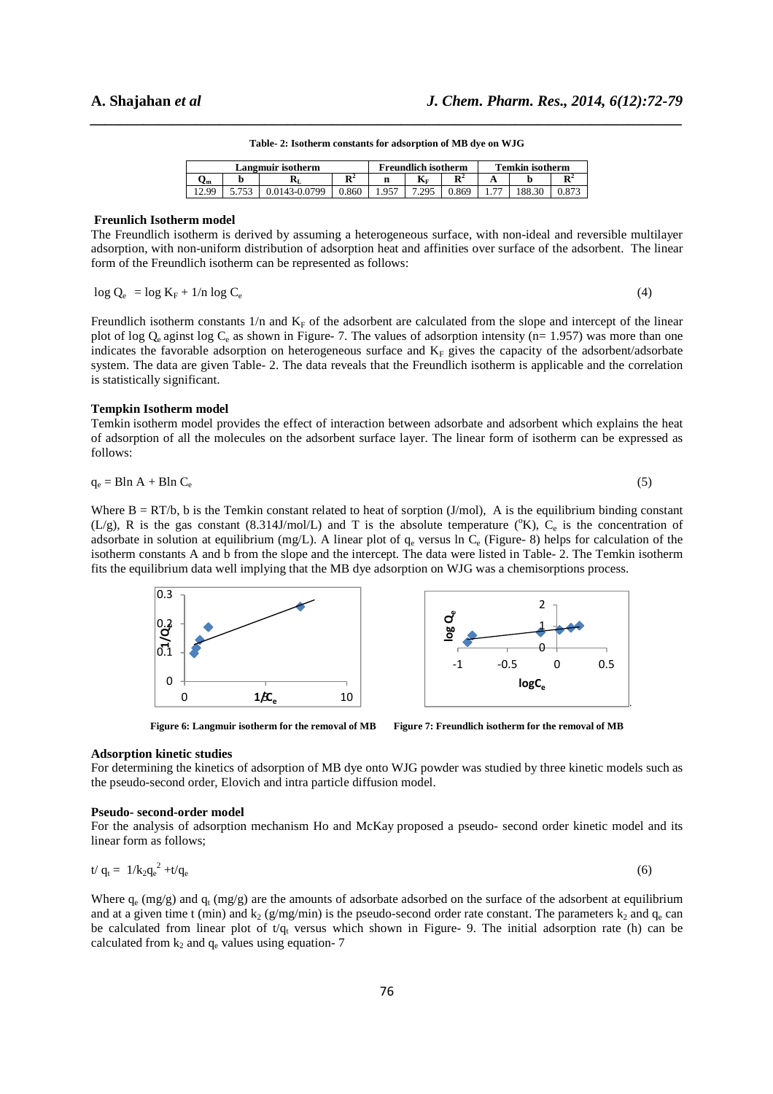| Table-2: Isotherm constants for adsorption of MB dye on WJG |
|-------------------------------------------------------------|

| Langmuir isotherm |  |      |                | Freundlich isotherm |                         |                     | <b>Temkin isotherm</b>   |  |                |
|-------------------|--|------|----------------|---------------------|-------------------------|---------------------|--------------------------|--|----------------|
| Jm                |  | лT   | $\mathbf{R}^2$ | n                   | $\mathbf{K}_{\text{F}}$ | D <sup>2</sup><br>n |                          |  | D <sup>2</sup> |
| - QC              |  | 0799 |                |                     |                         |                     | $\overline{\phantom{a}}$ |  |                |

#### **Freunlich Isotherm model**

The Freundlich isotherm is derived by assuming a heterogeneous surface, with non-ideal and reversible multilayer adsorption, with non-uniform distribution of adsorption heat and affinities over surface of the adsorbent. The linear form of the Freundlich isotherm can be represented as follows:

$$
\log Q_{\rm e} = \log K_{\rm F} + 1/n \log C_{\rm e} \tag{4}
$$

Freundlich isotherm constants  $1/n$  and  $K_F$  of the adsorbent are calculated from the slope and intercept of the linear plot of log  $Q_e$  aginst log  $C_e$  as shown in Figure- 7. The values of adsorption intensity (n= 1.957) was more than one indicates the favorable adsorption on heterogeneous surface and  $K_F$  gives the capacity of the adsorbent/adsorbate system. The data are given Table- 2. The data reveals that the Freundlich isotherm is applicable and the correlation is statistically significant.

### **Tempkin Isotherm model**

Temkin isotherm model provides the effect of interaction between adsorbate and adsorbent which explains the heat of adsorption of all the molecules on the adsorbent surface layer. The linear form of isotherm can be expressed as follows:

$$
q_e = B \ln A + B \ln C_e \tag{5}
$$

Where  $B = RT/b$ , b is the Temkin constant related to heat of sorption (J/mol), A is the equilibrium binding constant (L/g), R is the gas constant (8.314J/mol/L) and T is the absolute temperature ( $\rm{K}$ ),  $\rm{C}_{e}$  is the concentration of adsorbate in solution at equilibrium (mg/L). A linear plot of  $q_e$  versus ln  $C_e$  (Figure- 8) helps for calculation of the isotherm constants A and b from the slope and the intercept. The data were listed in Table- 2. The Temkin isotherm fits the equilibrium data well implying that the MB dye adsorption on WJG was a chemisorptions process.



Figure 6: Langmuir isotherm for the removal of MB Figure 7: Freundlich isotherm for the removal of MB

#### **Adsorption kinetic studies**

For determining the kinetics of adsorption of MB dye onto WJG powder was studied by three kinetic models such as the pseudo-second order, Elovich and intra particle diffusion model.

#### **Pseudo- second-order model**

For the analysis of adsorption mechanism Ho and McKay proposed a pseudo- second order kinetic model and its linear form as follows;

$$
t/q_t = 1/k_2 q_e^2 + t/q_e \tag{6}
$$

Where  $q_e$  (mg/g) and  $q_t$  (mg/g) are the amounts of adsorbate adsorbed on the surface of the adsorbent at equilibrium and at a given time t (min) and  $k_2$  (g/mg/min) is the pseudo-second order rate constant. The parameters  $k_2$  and  $q_e$  can be calculated from linear plot of  $t/q_t$  versus which shown in Figure- 9. The initial adsorption rate (h) can be calculated from  $k_2$  and  $q_e$  values using equation- 7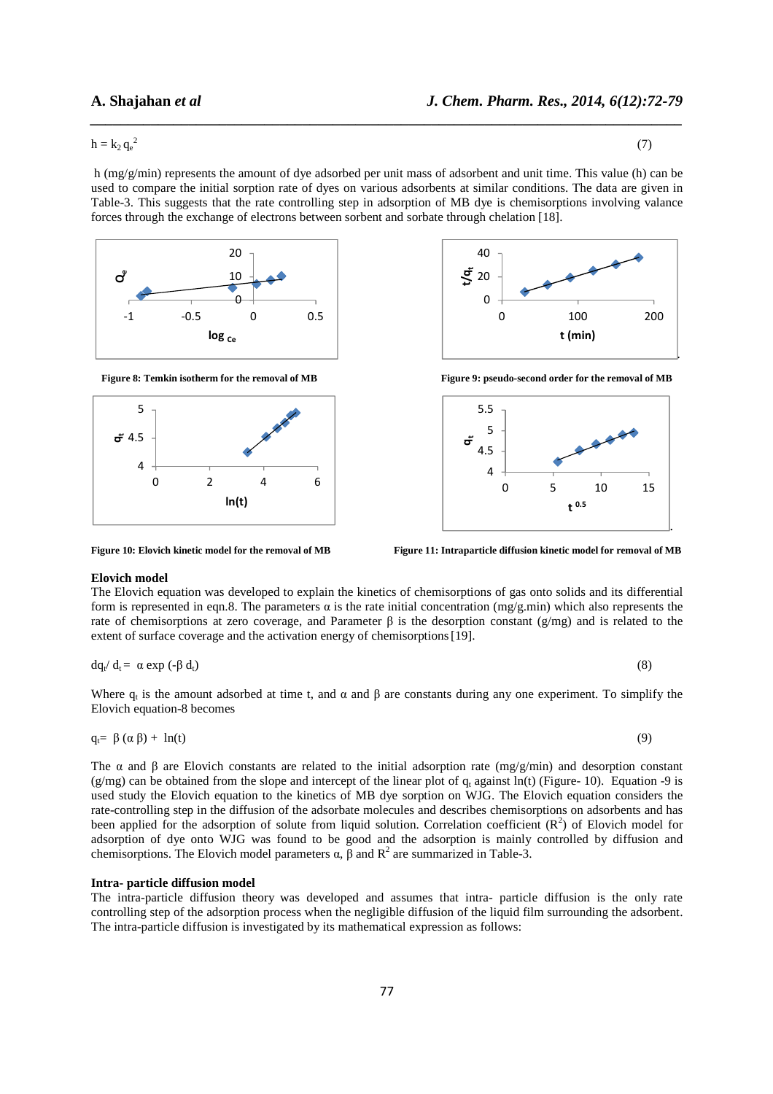$h = k_2 q_e^2$  $2^{2}$  (7)

 h (mg/g/min) represents the amount of dye adsorbed per unit mass of adsorbent and unit time. This value (h) can be used to compare the initial sorption rate of dyes on various adsorbents at similar conditions. The data are given in Table-3. This suggests that the rate controlling step in adsorption of MB dye is chemisorptions involving valance forces through the exchange of electrons between sorbent and sorbate through chelation [18].

*\_\_\_\_\_\_\_\_\_\_\_\_\_\_\_\_\_\_\_\_\_\_\_\_\_\_\_\_\_\_\_\_\_\_\_\_\_\_\_\_\_\_\_\_\_\_\_\_\_\_\_\_\_\_\_\_\_\_\_\_\_\_\_\_\_\_\_\_\_\_\_\_\_\_\_\_\_\_*



Figure 8: Temkin isotherm for the removal of MB **Figure 9:** pseudo-second order for the removal of MB







Figure 10: Elovich kinetic model for the removal of MB **Figure 11: Intraparticle diffusion kinetic model for removal of MB** 

#### **Elovich model**

The Elovich equation was developed to explain the kinetics of chemisorptions of gas onto solids and its differential form is represented in eqn.8. The parameters  $\alpha$  is the rate initial concentration (mg/g.min) which also represents the rate of chemisorptions at zero coverage, and Parameter  $\beta$  is the desorption constant (g/mg) and is related to the extent of surface coverage and the activation energy of chemisorptions [19].

$$
dq_t/d_t = \alpha \exp(-\beta d_t) \tag{8}
$$

Where  $q_t$  is the amount adsorbed at time t, and  $\alpha$  and  $\beta$  are constants during any one experiment. To simplify the Elovich equation-8 becomes

$$
q_t = \beta (\alpha \beta) + \ln(t) \tag{9}
$$

The  $\alpha$  and  $\beta$  are Elovich constants are related to the initial adsorption rate (mg/g/min) and desorption constant  $(g/mg)$  can be obtained from the slope and intercept of the linear plot of  $q_t$  against ln(t) (Figure- 10). Equation -9 is used study the Elovich equation to the kinetics of MB dye sorption on WJG. The Elovich equation considers the rate-controlling step in the diffusion of the adsorbate molecules and describes chemisorptions on adsorbents and has been applied for the adsorption of solute from liquid solution. Correlation coefficient  $(R^2)$  of Elovich model for adsorption of dye onto WJG was found to be good and the adsorption is mainly controlled by diffusion and chemisorptions. The Elovich model parameters  $\alpha$ ,  $\beta$  and  $R^2$  are summarized in Table-3.

## **Intra- particle diffusion model**

The intra-particle diffusion theory was developed and assumes that intra- particle diffusion is the only rate controlling step of the adsorption process when the negligible diffusion of the liquid film surrounding the adsorbent. The intra-particle diffusion is investigated by its mathematical expression as follows: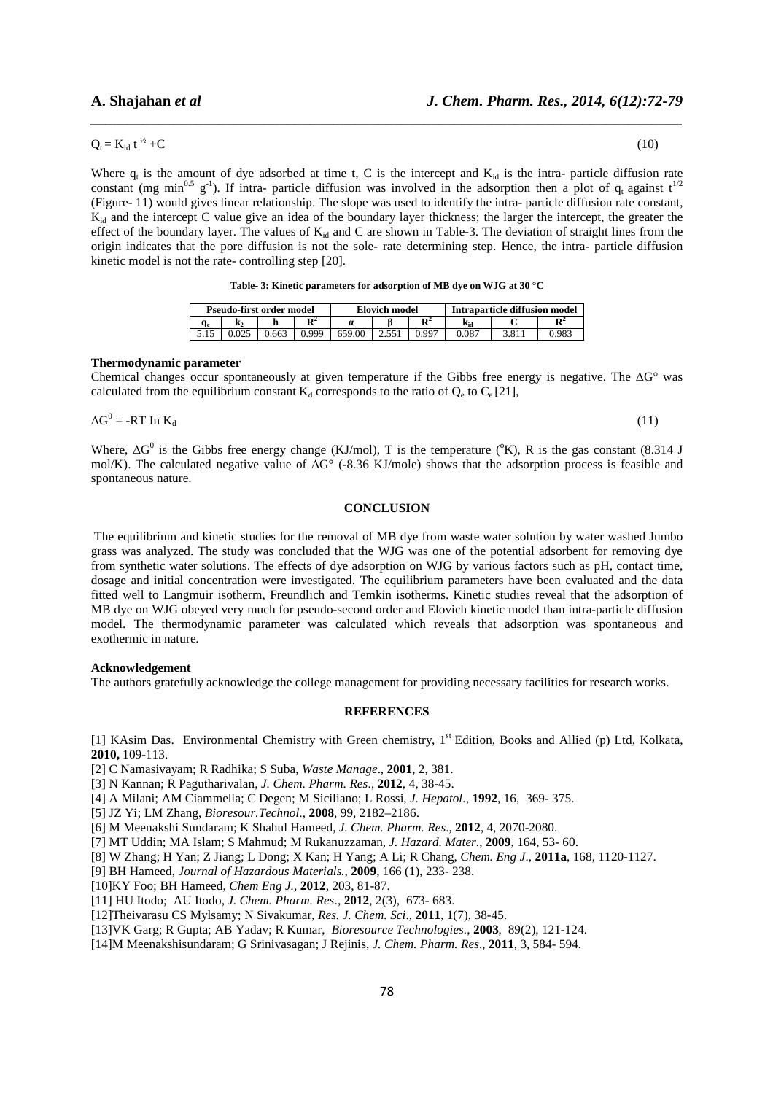#### $Q_t = K_{id} t^{1/2} + C$  $+C$  (10)

Where  $q_t$  is the amount of dye adsorbed at time t, C is the intercept and  $K_{id}$  is the intra- particle diffusion rate constant (mg min<sup>0.5</sup> g<sup>-1</sup>). If intra- particle diffusion was involved in the adsorption then a plot of q<sub>t</sub> against t<sup>1/2</sup> (Figure- 11) would gives linear relationship. The slope was used to identify the intra- particle diffusion rate constant, Kid and the intercept C value give an idea of the boundary layer thickness; the larger the intercept, the greater the effect of the boundary layer. The values of  $K_{id}$  and C are shown in Table-3. The deviation of straight lines from the origin indicates that the pore diffusion is not the sole- rate determining step. Hence, the intra- particle diffusion kinetic model is not the rate- controlling step [20].

*\_\_\_\_\_\_\_\_\_\_\_\_\_\_\_\_\_\_\_\_\_\_\_\_\_\_\_\_\_\_\_\_\_\_\_\_\_\_\_\_\_\_\_\_\_\_\_\_\_\_\_\_\_\_\_\_\_\_\_\_\_\_\_\_\_\_\_\_\_\_\_\_\_\_\_\_\_\_*

| Pseudo-first order model |       |                |        | Elovich model |                | Intraparticle diffusion model |                |                |
|--------------------------|-------|----------------|--------|---------------|----------------|-------------------------------|----------------|----------------|
| $\mathbf{N}$             |       | $\mathbf{R}^2$ |        |               | $\mathbf{R}^2$ | Kid                           |                | $\mathbf{R}^2$ |
|                          | 0.663 | 999            | 659.00 |               | . aa~          | 0.087                         | O <sub>1</sub> | ገ ዓጸሩ          |

#### **Thermodynamic parameter**

Chemical changes occur spontaneously at given temperature if the Gibbs free energy is negative. The ∆G° was calculated from the equilibrium constant  $K_d$  corresponds to the ratio of  $Q_e$  to  $C_e$  [21],

$$
\Delta G^0 = -RT \ln K_d \tag{11}
$$

Where,  $\Delta G^0$  is the Gibbs free energy change (KJ/mol), T is the temperature (°K), R is the gas constant (8.314 J mol/K). The calculated negative value of ∆G° (-8.36 KJ/mole) shows that the adsorption process is feasible and spontaneous nature.

## **CONCLUSION**

 The equilibrium and kinetic studies for the removal of MB dye from waste water solution by water washed Jumbo grass was analyzed. The study was concluded that the WJG was one of the potential adsorbent for removing dye from synthetic water solutions. The effects of dye adsorption on WJG by various factors such as pH, contact time, dosage and initial concentration were investigated. The equilibrium parameters have been evaluated and the data fitted well to Langmuir isotherm, Freundlich and Temkin isotherms. Kinetic studies reveal that the adsorption of MB dye on WJG obeyed very much for pseudo-second order and Elovich kinetic model than intra-particle diffusion model. The thermodynamic parameter was calculated which reveals that adsorption was spontaneous and exothermic in nature.

## **Acknowledgement**

The authors gratefully acknowledge the college management for providing necessary facilities for research works.

## **REFERENCES**

[1] KAsim Das. Environmental Chemistry with Green chemistry, 1<sup>st</sup> Edition, Books and Allied (p) Ltd, Kolkata, **2010,** 109-113.

[2] C Namasivayam; R Radhika; S Suba, *Waste Manage*., **2001**, 2, 381.

[3] N Kannan; R Pagutharivalan, *J. Chem. Pharm. Res*., **2012**, 4, 38-45.

- [4] A Milani; AM Ciammella; C Degen; M Siciliano; L Rossi, *J. Hepatol*., **1992**, 16, 369- 375.
- [5] JZ Yi; LM Zhang, *Bioresour.Technol*., **2008**, 99, 2182–2186.

[6] M Meenakshi Sundaram; K Shahul Hameed, *J. Chem. Pharm. Res*., **2012**, 4, 2070-2080.

[7] MT Uddin; MA Islam; S Mahmud; M Rukanuzzaman, *J. Hazard. Mater*., **2009**, 164, 53- 60.

[8] W Zhang; H Yan; Z Jiang; L Dong; X Kan; H Yang; A Li; R Chang, *Chem. Eng J*., **2011a**, 168, 1120-1127.

[9] BH Hameed, *Journal of Hazardous Materials.,* **2009**, 166 (1), 233- 238.

[10]KY Foo; BH Hameed, *Chem Eng J.,* **2012**, 203, 81-87.

[11] HU Itodo; AU Itodo, *J. Chem. Pharm. Res*., **2012**, 2(3), 673- 683.

[12]Theivarasu CS Mylsamy; N Sivakumar, *Res. J. Chem. Sci*., **2011**, 1(7), 38-45.

[13]VK Garg; R Gupta; AB Yadav; R Kumar, *Bioresource Technologies.*, **2003**, 89(2), 121-124.

[14]M Meenakshisundaram; G Srinivasagan; J Rejinis, *J. Chem. Pharm. Res*., **2011**, 3, 584- 594.